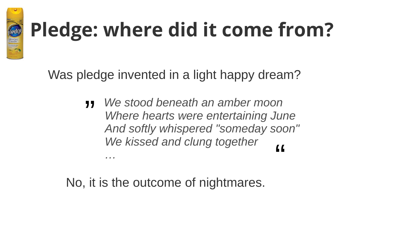

## **Pledge: where did it come from?**

Was pledge invented in a light happy dream?

 *We stood beneath an amber moon Where hearts were entertaining June And softly whispered "someday soon" We kissed and clung together …* "  $\overline{L}$ 

No, it is the outcome of nightmares.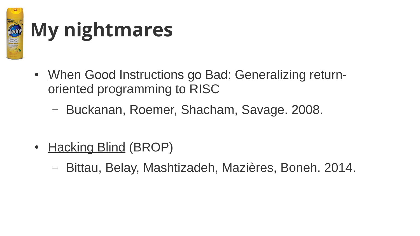

### **My nightmares**

- When Good Instructions go Bad: Generalizing returnoriented programming to RISC
	- Buckanan, Roemer, Shacham, Savage. 2008.
- Hacking Blind (BROP)
	- Bittau, Belay, Mashtizadeh, Mazières, Boneh. 2014.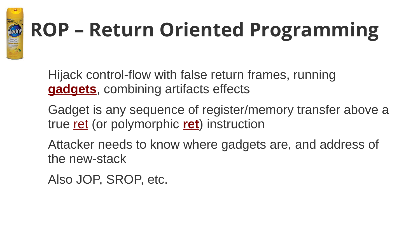# **ROP – Return Oriented Programming**

Hijack control-flow with false return frames, running **gadgets**, combining artifacts effects

Gadget is any sequence of register/memory transfer above a true ret (or polymorphic **ret**) instruction

Attacker needs to know where gadgets are, and address of the new-stack

Also JOP, SROP, etc.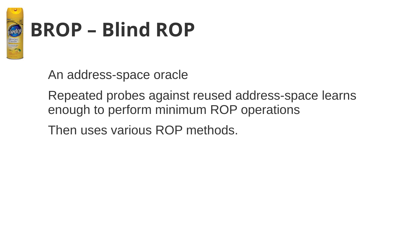

#### **BROP – Blind ROP**

An address-space oracle

Repeated probes against reused address-space learns enough to perform minimum ROP operations

Then uses various ROP methods.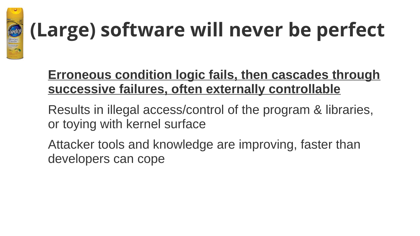

## **(Large) software will never be perfect**

#### **Erroneous condition logic fails, then cascades through successive failures, often externally controllable**

- Results in illegal access/control of the program & libraries, or toying with kernel surface
- Attacker tools and knowledge are improving, faster than developers can cope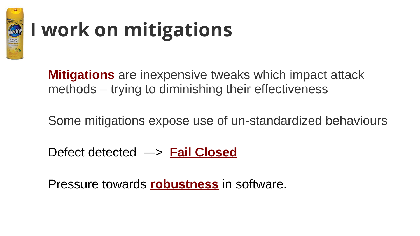

### **I work on mitigations**

**Mitigations** are inexpensive tweaks which impact attack methods – trying to diminishing their effectiveness

Some mitigations expose use of un-standardized behaviours

Defect detected ―> **Fail Closed**

Pressure towards **robustness** in software.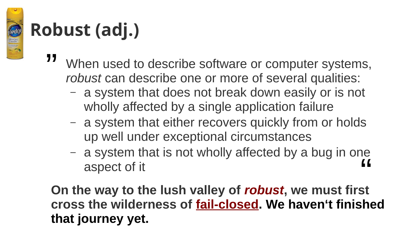## **Robust (adj.)**

EMON<br>CLEAN

- When used to describe software or computer systems, *robust* can describe one or more of several qualities: "
	- a system that does not break down easily or is not wholly affected by a single application failure
	- a system that either recovers quickly from or holds up well under exceptional circumstances
	- a system that is not wholly affected by a bug in one aspect of it ""<br>"

**On the way to the lush valley of** *robust***, we must first cross the wilderness of fail-closed. We haven't finished that journey yet.**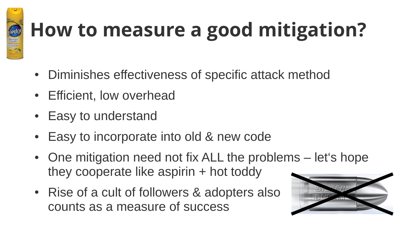

## **How to measure a good mitigation?**

- Diminishes effectiveness of specific attack method
- Efficient, low overhead
- Easy to understand
- Easy to incorporate into old & new code
- One mitigation need not fix ALL the problems let's hope they cooperate like aspirin + hot toddy
- Rise of a cult of followers & adopters also counts as a measure of success

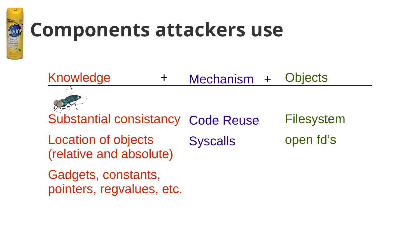

#### **Components attackers use**



pointers, regvalues, etc.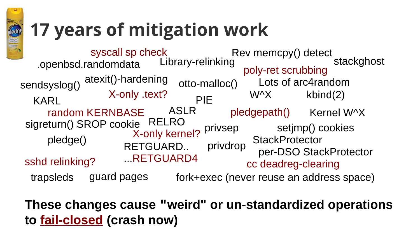

#### **17 years of mitigation work**

ASLR W^X **StackProtector** RETGUARD.. privdrop per-DSO StackProtector ...RETGUARD4 fork+exec (never reuse an address space) pledge() stackghost pledgepath() Kernel W^X privsep privdrop syscall sp check<br>andomdata Library-relinking KARL random KERNBASE sshd relinking? X-only kernel?  $X$ -only text?  $\qquad \qquad W^{\wedge}X$  kbind(2) .openbsd.randomdata atexit()-hardening otto-malloc() sendsyslog() PIE sigreturn() SROP cookie RELRO<br>Setjmp() cookies trapsleds Lots of arc4random cc deadreg-clearing poly-ret scrubbing guard pages Rev memcpy() detect

**These changes cause "weirdʺ or un-standardized operations to fail-closed (crash now)**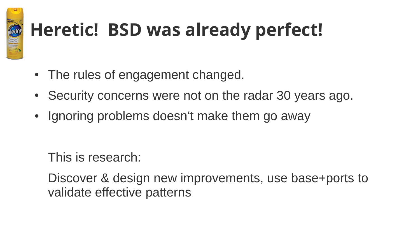

#### **Heretic! BSD was already perfect!**

- The rules of engagement changed.
- Security concerns were not on the radar 30 years ago.
- Ignoring problems doesn't make them go away

This is research:

Discover & design new improvements, use base+ports to validate effective patterns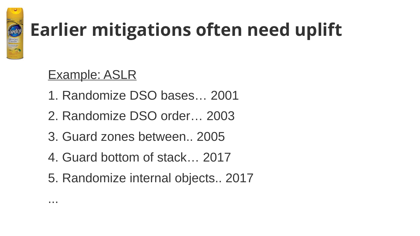

#### **Earlier mitigations often need uplift**

#### Example: ASLR

- 1. Randomize DSO bases… 2001
- 2. Randomize DSO order… 2003
- 3. Guard zones between.. 2005
- 4. Guard bottom of stack… 2017
- 5. Randomize internal objects.. 2017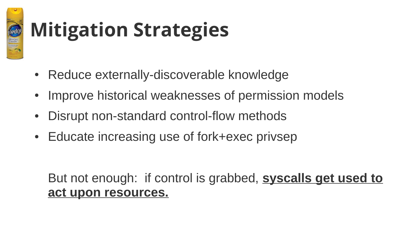

## **Mitigation Strategies**

- Reduce externally-discoverable knowledge
- Improve historical weaknesses of permission models
- Disrupt non-standard control-flow methods
- Educate increasing use of fork+exec privsep

#### But not enough: if control is grabbed, **syscalls get used to act upon resources.**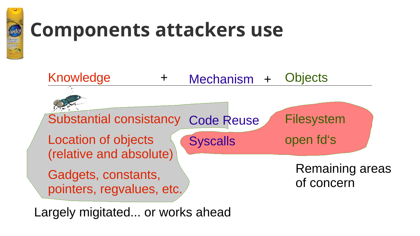

#### **Components attackers use**



Largely migitated... or works ahead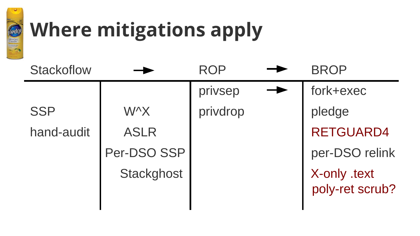

### **Where mitigations apply**

| Stackoflow |                   | <b>ROP</b> | <b>BROP</b>                     |
|------------|-------------------|------------|---------------------------------|
|            |                   | privsep    | fork+exec                       |
| <b>SSP</b> | <b>W^X</b>        | privdrop   | pledge                          |
| hand-audit | <b>ASLR</b>       |            | <b>RETGUARD4</b>                |
|            | Per-DSO SSP       |            | per-DSO relink                  |
|            | <b>Stackghost</b> |            | X-only .text<br>poly-ret scrub? |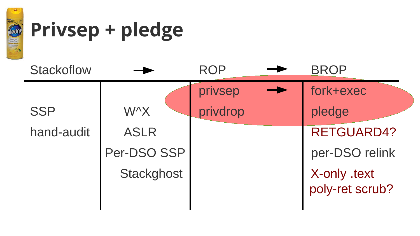

#### **Privsep + pledge**

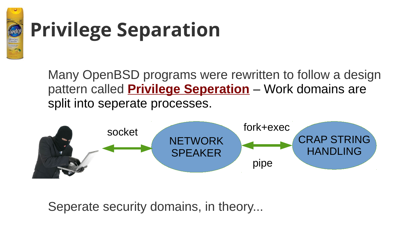

### **Privilege Separation**

Many OpenBSD programs were rewritten to follow a design pattern called **Privilege Seperation** – Work domains are split into seperate processes.



Seperate security domains, in theory...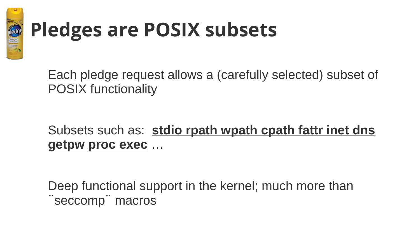

#### **Pledges are POSIX subsets**

Each pledge request allows a (carefully selected) subset of POSIX functionality

#### Subsets such as: **stdio rpath wpath cpath fattr inet dns getpw proc exec** …

Deep functional support in the kernel; much more than ¨seccomp¨ macros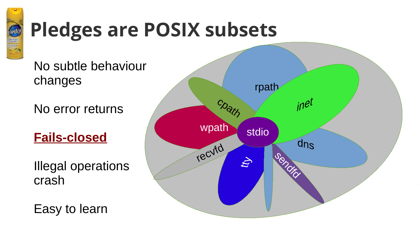

### **Pledges are POSIX subsets**

No subtle behaviour changes

No error returns

**Fails-closed**

Illegal operations crash

Easy to learn

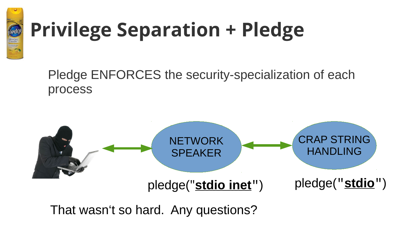

## **Privilege Separation + Pledge**

Pledge ENFORCES the security-specialization of each process



That wasn't so hard. Any questions?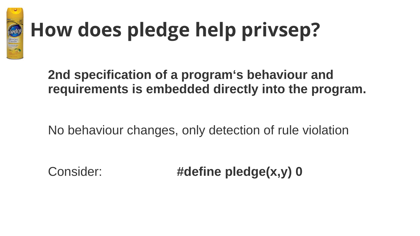

## **How does pledge help privsep?**

**2nd specification of a program's behaviour and requirements is embedded directly into the program.**

No behaviour changes, only detection of rule violation

Consider: **#define pledge(x,y) 0**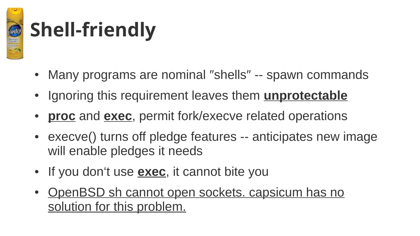

## **Shell-friendly**

- Many programs are nominal "shells" -- spawn commands
- Ignoring this requirement leaves them **unprotectable**
- **proc** and **exec**, permit fork/execve related operations
- execve() turns off pledge features -- anticipates new image will enable pledges it needs
- If you don't use **exec**, it cannot bite you
- OpenBSD sh cannot open sockets. capsicum has no solution for this problem.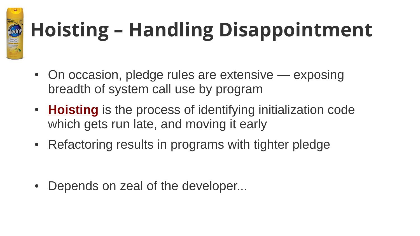

# **Hoisting – Handling Disappointment**

- On occasion, pledge rules are extensive exposing breadth of system call use by program
- **Hoisting** is the process of identifying initialization code which gets run late, and moving it early
- Refactoring results in programs with tighter pledge

• Depends on zeal of the developer...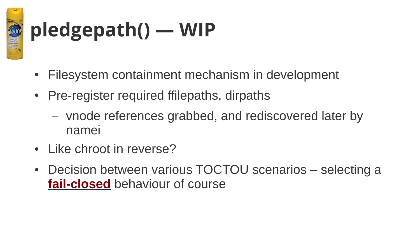

# **pledgepath() — WIP**

- Filesystem containment mechanism in development
- Pre-register required ffilepaths, dirpaths
	- vnode references grabbed, and rediscovered later by namei
- Like chroot in reverse?
- Decision between various TOCTOU scenarios selecting a **fail-closed** behaviour of course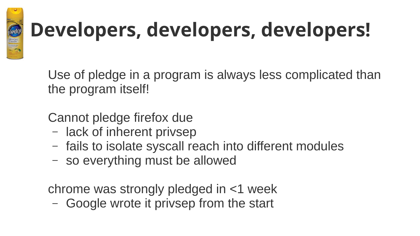

## **Developers, developers, developers!**

Use of pledge in a program is always less complicated than the program itself!

Cannot pledge firefox due

- lack of inherent privsep
- fails to isolate syscall reach into different modules
- so everything must be allowed

chrome was strongly pledged in <1 week

– Google wrote it privsep from the start